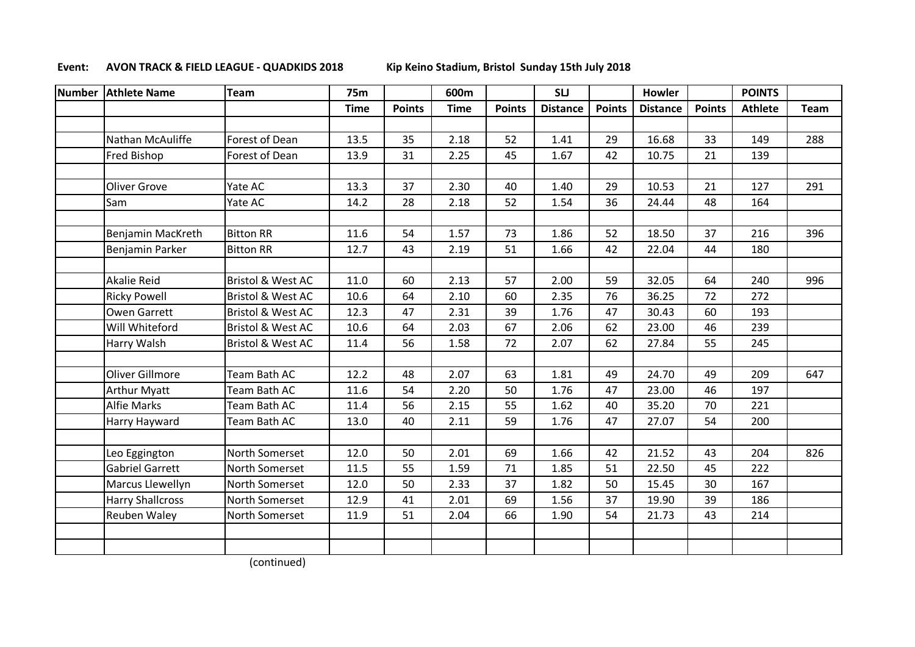## **Event: AVON TRACK & FIELD LEAGUE - QUADKIDS 2018 Kip Keino Stadium, Bristol Sunday 15th July 2018**

| <b>Number</b> | <b>Athlete Name</b>     | Team                         | <b>75m</b>  |               | 600m |               | <b>SLJ</b>      |               | Howler          |               | <b>POINTS</b>  |      |
|---------------|-------------------------|------------------------------|-------------|---------------|------|---------------|-----------------|---------------|-----------------|---------------|----------------|------|
|               |                         |                              | <b>Time</b> | <b>Points</b> | Time | <b>Points</b> | <b>Distance</b> | <b>Points</b> | <b>Distance</b> | <b>Points</b> | <b>Athlete</b> | Team |
|               |                         |                              |             |               |      |               |                 |               |                 |               |                |      |
|               | Nathan McAuliffe        | Forest of Dean               | 13.5        | 35            | 2.18 | 52            | 1.41            | 29            | 16.68           | 33            | 149            | 288  |
|               | Fred Bishop             | Forest of Dean               | 13.9        | 31            | 2.25 | 45            | 1.67            | 42            | 10.75           | 21            | 139            |      |
|               |                         |                              |             |               |      |               |                 |               |                 |               |                |      |
|               | Oliver Grove            | Yate AC                      | 13.3        | 37            | 2.30 | 40            | 1.40            | 29            | 10.53           | 21            | 127            | 291  |
|               | Sam                     | Yate AC                      | 14.2        | 28            | 2.18 | 52            | 1.54            | 36            | 24.44           | 48            | 164            |      |
|               |                         |                              |             |               |      |               |                 |               |                 |               |                |      |
|               | Benjamin MacKreth       | <b>Bitton RR</b>             | 11.6        | 54            | 1.57 | 73            | 1.86            | 52            | 18.50           | 37            | 216            | 396  |
|               | Benjamin Parker         | <b>Bitton RR</b>             | 12.7        | 43            | 2.19 | 51            | 1.66            | 42            | 22.04           | 44            | 180            |      |
|               |                         |                              |             |               |      |               |                 |               |                 |               |                |      |
|               | <b>Akalie Reid</b>      | <b>Bristol &amp; West AC</b> | 11.0        | 60            | 2.13 | 57            | 2.00            | 59            | 32.05           | 64            | 240            | 996  |
|               | <b>Ricky Powell</b>     | <b>Bristol &amp; West AC</b> | 10.6        | 64            | 2.10 | 60            | 2.35            | 76            | 36.25           | 72            | 272            |      |
|               | <b>Owen Garrett</b>     | <b>Bristol &amp; West AC</b> | 12.3        | 47            | 2.31 | 39            | 1.76            | 47            | 30.43           | 60            | 193            |      |
|               | Will Whiteford          | <b>Bristol &amp; West AC</b> | 10.6        | 64            | 2.03 | 67            | 2.06            | 62            | 23.00           | 46            | 239            |      |
|               | <b>Harry Walsh</b>      | <b>Bristol &amp; West AC</b> | 11.4        | 56            | 1.58 | 72            | 2.07            | 62            | 27.84           | 55            | 245            |      |
|               |                         |                              |             |               |      |               |                 |               |                 |               |                |      |
|               | Oliver Gillmore         | Team Bath AC                 | 12.2        | 48            | 2.07 | 63            | 1.81            | 49            | 24.70           | 49            | 209            | 647  |
|               | <b>Arthur Myatt</b>     | Team Bath AC                 | 11.6        | 54            | 2.20 | 50            | 1.76            | 47            | 23.00           | 46            | 197            |      |
|               | <b>Alfie Marks</b>      | Team Bath AC                 | 11.4        | 56            | 2.15 | 55            | 1.62            | 40            | 35.20           | 70            | 221            |      |
|               | Harry Hayward           | Team Bath AC                 | 13.0        | 40            | 2.11 | 59            | 1.76            | 47            | 27.07           | 54            | 200            |      |
|               |                         |                              |             |               |      |               |                 |               |                 |               |                |      |
|               | Leo Eggington           | North Somerset               | 12.0        | 50            | 2.01 | 69            | 1.66            | 42            | 21.52           | 43            | 204            | 826  |
|               | <b>Gabriel Garrett</b>  | North Somerset               | 11.5        | 55            | 1.59 | 71            | 1.85            | 51            | 22.50           | 45            | 222            |      |
|               | Marcus Llewellyn        | North Somerset               | 12.0        | 50            | 2.33 | 37            | 1.82            | 50            | 15.45           | 30            | 167            |      |
|               | <b>Harry Shallcross</b> | North Somerset               | 12.9        | 41            | 2.01 | 69            | 1.56            | 37            | 19.90           | 39            | 186            |      |
|               | Reuben Waley            | North Somerset               | 11.9        | 51            | 2.04 | 66            | 1.90            | 54            | 21.73           | 43            | 214            |      |
|               |                         |                              |             |               |      |               |                 |               |                 |               |                |      |
|               |                         |                              |             |               |      |               |                 |               |                 |               |                |      |

(continued)